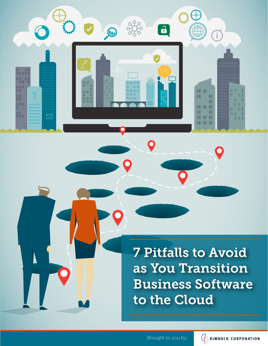

 $\mathbf 0$ 

7 Pitfalls to Avoid as You Transition Business Software to the Cloud

 $\mathbf{O}$ 

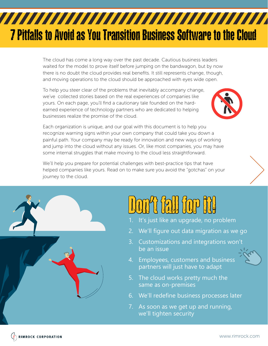## 7 Pitfalls to Avoid as You Transition Business Software to the Cloud

The cloud has come a long way over the past decade. Cautious business leaders waited for the model to prove itself before jumping on the bandwagon, but by now there is no doubt the cloud provides real benefits. It still represents change, though, and moving operations to the cloud should be approached with eyes wide open.

To help you steer clear of the problems that inevitably accompany change, we've collected stories based on the real experiences of companies like yours. On each page, you'll find a cautionary tale founded on the hardearned experience of technology partners who are dedicated to helping businesses realize the promise of the cloud.



Each organization is unique, and our goal with this document is to help you recognize warning signs within your own company that could take you down a painful path. Your company may be ready for innovation and new ways of working and jump into the cloud without any issues. Or, like most companies, you may have some internal struggles that make moving to the cloud less straightforward.

We'll help you prepare for potential challenges with best-practice tips that have helped companies like yours. Read on to make sure you avoid the "gotchas" on your journey to the cloud.



## Don't fall for fill

- 1. It's just like an upgrade, no problem
- 2. We'll figure out data migration as we go
- 3. Customizations and integrations won't be an issue
- 4. Employees, customers and business partners will just have to adapt
- 5. The cloud works pretty much the same as on-premises
- 6. We'll redefine business processes later
- 7. As soon as we get up and running, we'll tighten security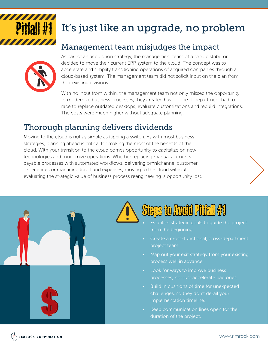# **TITTININ**

## **Pitfall #1** It's just like an upgrade, no problem

#### Management team misjudges the impact



As part of an acquisition strategy, the management team of a food distributor decided to move their current ERP system to the cloud. The concept was to accelerate and simplify transitioning operations of acquired companies through a cloud-based system. The management team did not solicit input on the plan from their existing divisions.

With no input from within, the management team not only missed the opportunity to modernize business processes, they created havoc. The IT department had to race to replace outdated desktops, evaluate customizations and rebuild integrations. The costs were much higher without adequate planning.

#### Thorough planning delivers dividends

Moving to the cloud is not as simple as flipping a switch. As with most business strategies, planning ahead is critical for making the most of the benefits of the cloud. With your transition to the cloud comes opportunity to capitalize on new technologies and modernize operations. Whether replacing manual accounts payable processes with automated workflows, delivering omnichannel customer experiences or managing travel and expenses, moving to the cloud without evaluating the strategic value of business process reengineering is opportunity lost.





- Establish strategic goals to guide the project from the beginning.
- Create a cross-functional, cross-department project team.
- Map out your exit strategy from your existing process well in advance.
- Look for ways to improve business processes, not just accelerate bad ones.
- Build in cushions of time for unexpected challenges, so they don't derail your implementation timeline.
- Keep communication lines open for the duration of the project.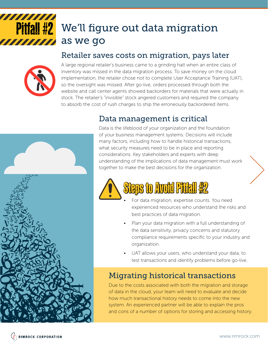#### 7777777 **Pitfall #2** We'll figure out data migration as we go

#### Retailer saves costs on migration, pays later



A large regional retailer's business came to a grinding halt when an entire class of inventory was missed in the data migration process. To save money on the cloud implementation, the retailer chose not to complete User Acceptance Training (UAT), so the oversight was missed. After go-live, orders processed through both the website and call center agents showed backorders for materials that were actually in stock. The retailer's "invisible" stock angered customers and required the company to absorb the cost of rush charges to ship the erroneously backordered items.

#### Data management is critical



Data is the lifeblood of your organization and the foundation of your business management systems. Decisions will include many factors, including how to handle historical transactions, what security measures need to be in place and reporting considerations. Key stakeholders and experts with deep understanding of the implications of data management must work together to make the best decisions for the organization.



- For data migration, expertise counts. You need experienced resources who understand the risks and best practices of data migration.
- Plan your data migration with a full understanding of the data sensitivity, privacy concerns and statutory compliance requirements specific to your industry and organization.
- UAT allows your users, who understand your data, to test transactions and identify problems before go-live.

#### Migrating historical transactions

Due to the costs associated with both the migration and storage of data in the cloud, your team will need to evaluate and decide how much transactional history needs to come into the new system. An experienced partner will be able to explain the pros and cons of a number of options for storing and accessing history.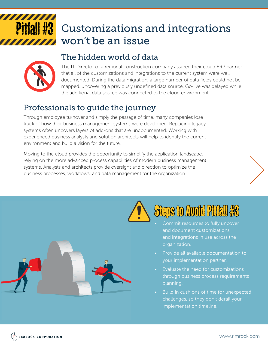

## **Pitfall #3** Customizations and integrations won't be an issue

#### The hidden world of data



The IT Director of a regional construction company assured their cloud ERP partner that all of the customizations and integrations to the current system were well documented. During the data migration, a large number of data fields could not be mapped, uncovering a previously undefined data source. Go-live was delayed while the additional data source was connected to the cloud environment.

#### Professionals to guide the journey

Through employee turnover and simply the passage of time, many companies lose track of how their business management systems were developed. Replacing legacy systems often uncovers layers of add-ons that are undocumented. Working with experienced business analysts and solution architects will help to identify the current environment and build a vision for the future.

Moving to the cloud provides the opportunity to simplify the application landscape, relying on the more advanced process capabilities of modern business management systems. Analysts and architects provide oversight and direction to optimize the business processes, workflows, and data management for the organization.





- Commit resources to fully uncover and document customizations and integrations in use across the organization.
- Provide all available documentation to your implementation partner.
- Evaluate the need for customizations through business process requirements planning.
- Build in cushions of time for unexpected challenges, so they don't derail your implementation timeline.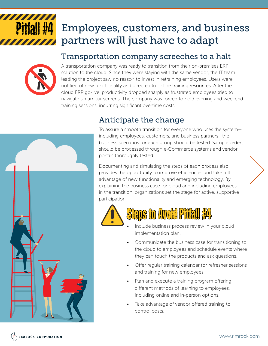#### 7777777777 Pitfall #4 Employees, customers, and business partners will just have to adapt 7777777

#### Transportation company screeches to a halt



A transportation company was ready to transition from their on-premises ERP solution to the cloud. Since they were staying with the same vendor, the IT team leading the project saw no reason to invest in retraining employees. Users were notified of new functionality and directed to online training resources. After the cloud ERP go-live, productivity dropped sharply as frustrated employees tried to navigate unfamiliar screens. The company was forced to hold evening and weekend training sessions, incurring significant overtime costs.



#### Anticipate the change

To assure a smooth transition for everyone who uses the system including employees, customers, and business partners—the business scenarios for each group should be tested. Sample orders should be processed through e-Commerce systems and vendor portals thoroughly tested.

Documenting and simulating the steps of each process also provides the opportunity to improve efficiencies and take full advantage of new functionality and emerging technology. By explaining the business case for cloud and including employees in the transition, organizations set the stage for active, supportive participation.



## Steps to Avoid Pitfall #4

- Include business process review in your cloud implementation plan.
- Communicate the business case for transitioning to the cloud to employees and schedule events where they can touch the products and ask questions.
- Offer regular training calendar for refresher sessions and training for new employees.
- Plan and execute a training program offering different methods of learning to employees, including online and in-person options.
- Take advantage of vendor offered training to control costs.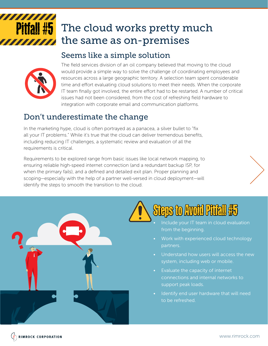#### Pitfall #5 The cloud works pretty much the same as on-premises 77777

#### Seems like a simple solution



The field services division of an oil company believed that moving to the cloud would provide a simple way to solve the challenge of coordinating employees and resources across a large geographic territory. A selection team spent considerable time and effort evaluating cloud solutions to meet their needs. When the corporate IT team finally got involved, the entire effort had to be restarted. A number of critical issues had not been considered, from the cost of refreshing field hardware to integration with corporate email and communication platforms.

#### Don't underestimate the change

In the marketing hype, cloud is often portrayed as a panacea, a silver bullet to "fix all your IT problems." While it's true that the cloud can deliver tremendous benefits, including reducing IT challenges, a systematic review and evaluation of all the requirements is critical.

Requirements to be explored range from basic issues like local network mapping, to ensuring reliable high-speed internet connection (and a redundant backup ISP, for when the primary fails), and a defined and detailed exit plan. Proper planning and scoping—especially with the help of a partner well-versed in cloud deployment—will identify the steps to smooth the transition to the cloud.



## Steps to Avoid Pitfall #5

- Include your IT team in cloud evaluation from the beginning.
- Work with experienced cloud technology partners.
- Understand how users will access the new system, including web or mobile.
- Evaluate the capacity of internet connections and internal networks to support peak loads.
- Identify end user hardware that will need to be refreshed.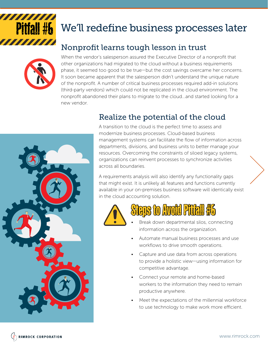

## We'll redefine business processes later

#### Nonprofit learns tough lesson in trust



When the vendor's salesperson assured the Executive Director of a nonprofit that other organizations had migrated to the cloud without a business requirements phase, it seemed too good to be true—but the cost savings overcame her concerns. It soon became apparent that the salesperson didn't understand the unique nature of the nonprofit. A number of critical business processes required add-in solutions (third-party vendors) which could not be replicated in the cloud environment. The nonprofit abandoned their plans to migrate to the cloud...and started looking for a new vendor.

#### Realize the potential of the cloud



A transition to the cloud is the perfect time to assess and modernize business processes. Cloud-based business management systems can facilitate the flow of information across departments, divisions, and business units to better manage your resources. Overcoming the constraints of siloed legacy systems, organizations can reinvent processes to synchronize activities across all boundaries.

A requirements analysis will also identify any functionality gaps that might exist. It is unlikely all features and functions currently available in your on-premises business software will identically exist in the cloud accounting solution.





- Break down departmental silos, connecting information across the organization.
- Automate manual business processes and use workflows to drive smooth operations.
- Capture and use data from across operations to provide a holistic view—using information for competitive advantage.
- Connect your remote and home-based workers to the information they need to remain productive anywhere.
- Meet the expectations of the millennial workforce to use technology to make work more efficient.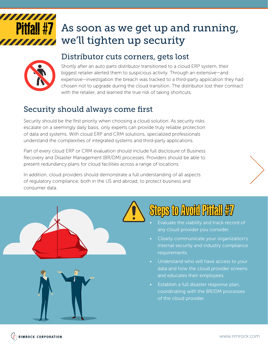

## **Pitfall #7** As soon as we get up and running, we'll tighten up security



#### Distributor cuts corners, gets lost

Shortly after an auto parts distributor transitioned to a cloud ERP system, their biggest retailer alerted them to suspicious activity. Through an extensive—and expensive—investigation the breach was tracked to a third-party application they had chosen not to upgrade during the cloud transition. The distributor lost their contract with the retailer, and learned the true risk of taking shortcuts.

#### Security should always come first

Security should be the first priority when choosing a cloud solution. As security risks escalate on a seemingly daily basis, only experts can provide truly reliable protection of data and systems. With cloud ERP and CRM solutions, specialized professionals understand the complexities of integrated systems and third-party applications.

Part of every cloud ERP or CRM evaluation should include full disclosure of Business Recovery and Disaster Management (BR/DM) processes. Providers should be able to present redundancy plans for cloud facilities across a range of locations.

In addition, cloud providers should demonstrate a full understanding of all aspects of regulatory compliance, both in the US and abroad, to protect business and consumer data.



## Steps to Avoid Pitfall #7

- Evaluate the viability and track record of any cloud provider you consider.
- Clearly communicate your organization's internal security and industry compliance requirements.
- Understand who will have access to your data and how the cloud provider screens and educates their employees.
- Establish a full disaster response plan, coordinating with the BR/DM processes of the cloud provider.

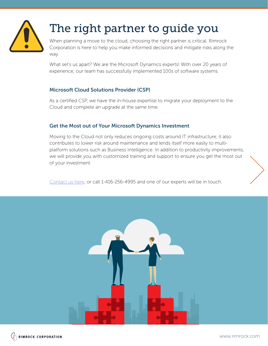

## The right partner to guide you

When planning a move to the cloud, choosing the right partner is critical. Rimrock Corporation is here to help you make informed decisions and mitigate risks along the way.

What set's us apart? We are the Microsoft Dynamics experts! With over 20 years of experience, our team has successfully implemented 100s of software systems.

#### Microsoft Cloud Solutions Provider (CSP)

As a certified CSP, we have the in-house expertise to migrate your deployment to the Cloud and complete an upgrade at the same time.

#### Get the Most out of Your Microsoft Dynamics Investment

Moving to the Cloud not only reduces ongoing costs around IT infrastructure, it also contributes to lower risk around maintenance and lends itself more easily to multiplatform solutions such as Business Intelligence. In addition to productivity improvements, we will provide you with customized training and support to ensure you get the most out of your investment.

Contact us here, or call 1-416-256-4995 and one of our experts will be in touch.